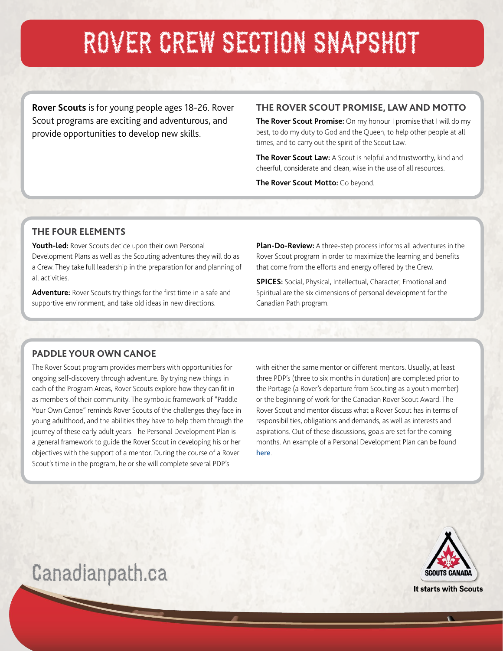# ROVER CREW SECTION SNAPSHOT

**Rover Scouts** is for young people ages 18-26. Rover Scout programs are exciting and adventurous, and provide opportunities to develop new skills.

#### **THE ROVER SCOUT PROMISE, LAW AND MOTTO**

**The Rover Scout Promise:** On my honour I promise that I will do my best, to do my duty to God and the Queen, to help other people at all times, and to carry out the spirit of the Scout Law.

**The Rover Scout Law:** A Scout is helpful and trustworthy, kind and cheerful, considerate and clean, wise in the use of all resources.

**The Rover Scout Motto:** Go beyond.

#### **THE FOUR ELEMENTS**

**Youth-led:** Rover Scouts decide upon their own Personal Development Plans as well as the Scouting adventures they will do as a Crew. They take full leadership in the preparation for and planning of all activities.

**Adventure:** Rover Scouts try things for the first time in a safe and supportive environment, and take old ideas in new directions.

**Plan-Do-Review:** A three-step process informs all adventures in the Rover Scout program in order to maximize the learning and benefits that come from the efforts and energy offered by the Crew.

**SPICES:** Social, Physical, Intellectual, Character, Emotional and Spiritual are the six dimensions of personal development for the Canadian Path program.

#### **PADDLE YOUR OWN CANOE**

The Rover Scout program provides members with opportunities for ongoing self-discovery through adventure. By trying new things in each of the Program Areas, Rover Scouts explore how they can fit in as members of their community. The symbolic framework of "Paddle Your Own Canoe" reminds Rover Scouts of the challenges they face in young adulthood, and the abilities they have to help them through the journey of these early adult years. The Personal Development Plan is a general framework to guide the Rover Scout in developing his or her objectives with the support of a mentor. During the course of a Rover Scout's time in the program, he or she will complete several PDP's

with either the same mentor or different mentors. Usually, at least three PDP's (three to six months in duration) are completed prior to the Portage (a Rover's departure from Scouting as a youth member) or the beginning of work for the Canadian Rover Scout Award. The Rover Scout and mentor discuss what a Rover Scout has in terms of responsibilities, obligations and demands, as well as interests and aspirations. Out of these discussions, goals are set for the coming months. An example of a Personal Development Plan can be found [here](http://www.scoutinglife.ca/wp-content/uploads/rs/rs-personal-development-plan.pdf).



### Canadianpath.ca